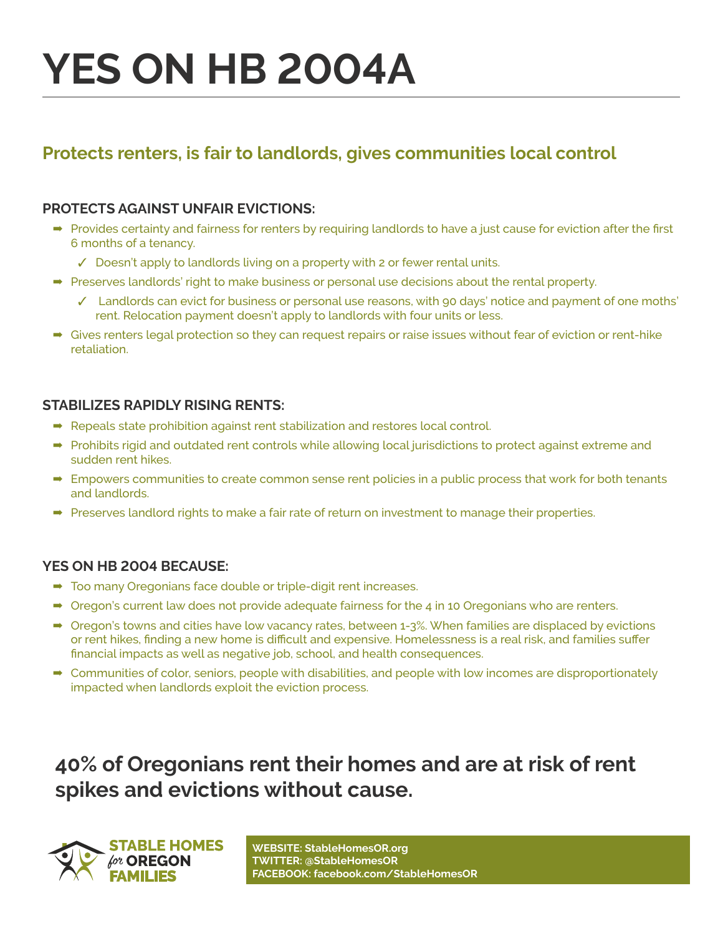# **YES ON HB 2004A**

### **Protects renters, is fair to landlords, gives communities local control**

#### **PROTECTS AGAINST UNFAIR EVICTIONS:**

- ➡ Provides certainty and fairness for renters by requiring landlords to have a just cause for eviction after the first 6 months of a tenancy.
	- ✓ Doesn't apply to landlords living on a property with 2 or fewer rental units.
- ➡ ➡Preserves landlords' right to make business or personal use decisions about the rental property.
	- ✓ Landlords can evict for business or personal use reasons, with 90 days' notice and payment of one moths' rent. Relocation payment doesn't apply to landlords with four units or less.
- → Gives renters legal protection so they can request repairs or raise issues without fear of eviction or rent-hike retaliation.

#### **STABILIZES RAPIDLY RISING RENTS:**

- ➡ ➡Repeals state prohibition against rent stabilization and restores local control.
- ➡ ➡Prohibits rigid and outdated rent controls while allowing local jurisdictions to protect against extreme and sudden rent hikes.
- ➡ ➡Empowers communities to create common sense rent policies in a public process that work for both tenants and landlords.
- → Preserves landlord rights to make a fair rate of return on investment to manage their properties.

#### **YES ON HB 2004 BECAUSE:**

- ➡ ➡Too many Oregonians face double or triple-digit rent increases.
- $\rightarrow$  Oregon's current law does not provide adequate fairness for the 4 in 10 Oregonians who are renters.
- ➡ ➡Oregon's towns and cities have low vacancy rates, between 1-3%. When families are displaced by evictions or rent hikes, finding a new home is difficult and expensive. Homelessness is a real risk, and families suffer financial impacts as well as negative job, school, and health consequences.
- **■** Communities of color, seniors, people with disabilities, and people with low incomes are disproportionately impacted when landlords exploit the eviction process.

## **40% of Oregonians rent their homes and are at risk of rent spikes and evictions without cause.**



**WEBSITE: StableHomesOR.org TWITTER: @StableHomesOR FACEBOOK: facebook.com/StableHomesOR**